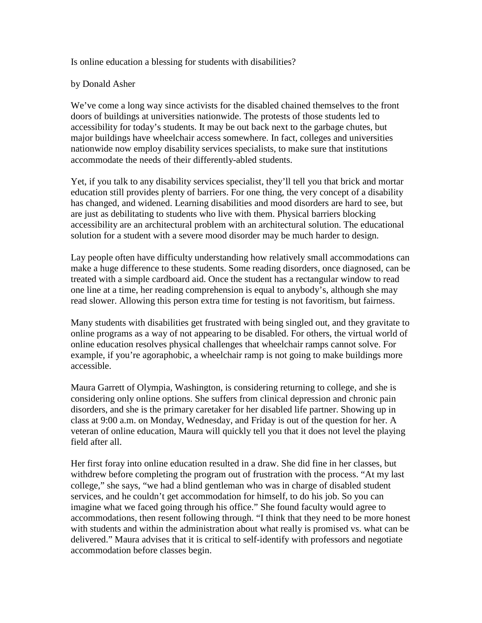Is online education a blessing for students with disabilities?

## by Donald Asher

We've come a long way since activists for the disabled chained themselves to the front doors of buildings at universities nationwide. The protests of those students led to accessibility for today's students. It may be out back next to the garbage chutes, but major buildings have wheelchair access somewhere. In fact, colleges and universities nationwide now employ disability services specialists, to make sure that institutions accommodate the needs of their differently-abled students.

Yet, if you talk to any disability services specialist, they'll tell you that brick and mortar education still provides plenty of barriers. For one thing, the very concept of a disability has changed, and widened. Learning disabilities and mood disorders are hard to see, but are just as debilitating to students who live with them. Physical barriers blocking accessibility are an architectural problem with an architectural solution. The educational solution for a student with a severe mood disorder may be much harder to design.

Lay people often have difficulty understanding how relatively small accommodations can make a huge difference to these students. Some reading disorders, once diagnosed, can be treated with a simple cardboard aid. Once the student has a rectangular window to read one line at a time, her reading comprehension is equal to anybody's, although she may read slower. Allowing this person extra time for testing is not favoritism, but fairness.

Many students with disabilities get frustrated with being singled out, and they gravitate to online programs as a way of not appearing to be disabled. For others, the virtual world of online education resolves physical challenges that wheelchair ramps cannot solve. For example, if you're agoraphobic, a wheelchair ramp is not going to make buildings more accessible.

Maura Garrett of Olympia, Washington, is considering returning to college, and she is considering only online options. She suffers from clinical depression and chronic pain disorders, and she is the primary caretaker for her disabled life partner. Showing up in class at 9:00 a.m. on Monday, Wednesday, and Friday is out of the question for her. A veteran of online education, Maura will quickly tell you that it does not level the playing field after all.

Her first foray into online education resulted in a draw. She did fine in her classes, but withdrew before completing the program out of frustration with the process. "At my last college," she says, "we had a blind gentleman who was in charge of disabled student services, and he couldn't get accommodation for himself, to do his job. So you can imagine what we faced going through his office." She found faculty would agree to accommodations, then resent following through. "I think that they need to be more honest with students and within the administration about what really is promised vs. what can be delivered." Maura advises that it is critical to self-identify with professors and negotiate accommodation before classes begin.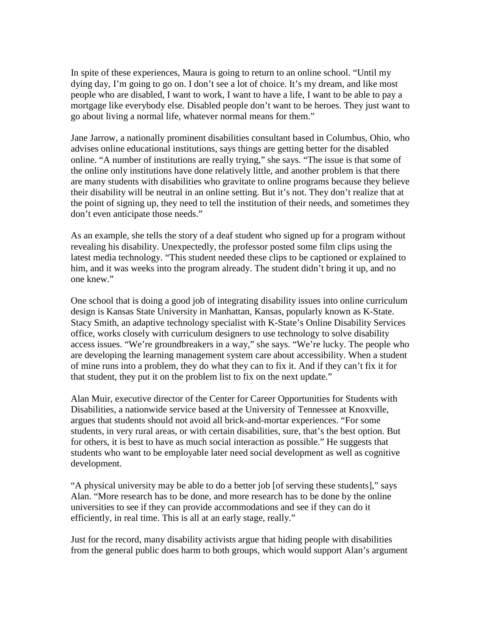In spite of these experiences, Maura is going to return to an online school. "Until my dying day, I'm going to go on. I don't see a lot of choice. It's my dream, and like most people who are disabled, I want to work, I want to have a life, I want to be able to pay a mortgage like everybody else. Disabled people don't want to be heroes. They just want to go about living a normal life, whatever normal means for them."

Jane Jarrow, a nationally prominent disabilities consultant based in Columbus, Ohio, who advises online educational institutions, says things are getting better for the disabled online. "A number of institutions are really trying," she says. "The issue is that some of the online only institutions have done relatively little, and another problem is that there are many students with disabilities who gravitate to online programs because they believe their disability will be neutral in an online setting. But it's not. They don't realize that at the point of signing up, they need to tell the institution of their needs, and sometimes they don't even anticipate those needs."

As an example, she tells the story of a deaf student who signed up for a program without revealing his disability. Unexpectedly, the professor posted some film clips using the latest media technology. "This student needed these clips to be captioned or explained to him, and it was weeks into the program already. The student didn't bring it up, and no one knew."

One school that is doing a good job of integrating disability issues into online curriculum design is Kansas State University in Manhattan, Kansas, popularly known as K-State. Stacy Smith, an adaptive technology specialist with K-State's Online Disability Services office, works closely with curriculum designers to use technology to solve disability access issues. "We're groundbreakers in a way," she says. "We're lucky. The people who are developing the learning management system care about accessibility. When a student of mine runs into a problem, they do what they can to fix it. And if they can't fix it for that student, they put it on the problem list to fix on the next update."

Alan Muir, executive director of the Center for Career Opportunities for Students with Disabilities, a nationwide service based at the University of Tennessee at Knoxville, argues that students should not avoid all brick-and-mortar experiences. "For some students, in very rural areas, or with certain disabilities, sure, that's the best option. But for others, it is best to have as much social interaction as possible." He suggests that students who want to be employable later need social development as well as cognitive development.

"A physical university may be able to do a better job [of serving these students]," says Alan. "More research has to be done, and more research has to be done by the online universities to see if they can provide accommodations and see if they can do it efficiently, in real time. This is all at an early stage, really."

Just for the record, many disability activists argue that hiding people with disabilities from the general public does harm to both groups, which would support Alan's argument